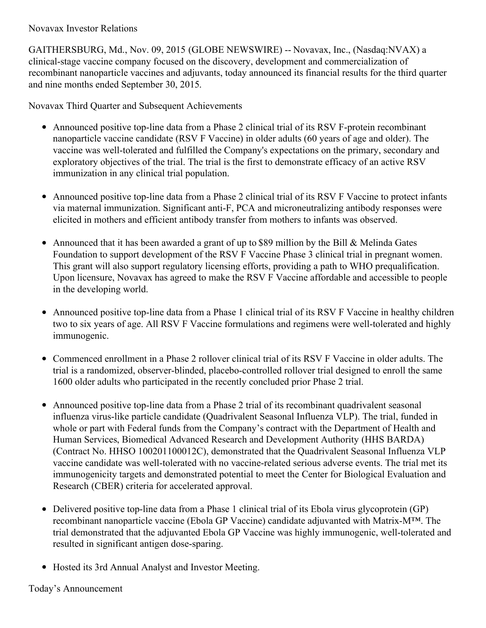## Novavax Investor Relations

GAITHERSBURG, Md., Nov. 09, 2015 (GLOBE NEWSWIRE) -- Novavax, Inc., (Nasdaq:NVAX) a clinical-stage vaccine company focused on the discovery, development and commercialization of recombinant nanoparticle vaccines and adjuvants, today announced its financial results for the third quarter and nine months ended September 30, 2015.

Novavax Third Quarter and Subsequent Achievements

- Announced positive top-line data from a Phase 2 clinical trial of its RSV F-protein recombinant nanoparticle vaccine candidate (RSV F Vaccine) in older adults (60 years of age and older). The vaccine was well-tolerated and fulfilled the Company's expectations on the primary, secondary and exploratory objectives of the trial. The trial is the first to demonstrate efficacy of an active RSV immunization in any clinical trial population.
- Announced positive top-line data from a Phase 2 clinical trial of its RSV F Vaccine to protect infants via maternal immunization. Significant anti-F, PCA and microneutralizing antibody responses were elicited in mothers and efficient antibody transfer from mothers to infants was observed.
- $\bullet$ Announced that it has been awarded a grant of up to \$89 million by the Bill & Melinda Gates Foundation to support development of the RSV F Vaccine Phase 3 clinical trial in pregnant women. This grant will also support regulatory licensing efforts, providing a path to WHO prequalification. Upon licensure, Novavax has agreed to make the RSV F Vaccine affordable and accessible to people in the developing world.
- Announced positive top-line data from a Phase 1 clinical trial of its RSV F Vaccine in healthy children two to six years of age. All RSV F Vaccine formulations and regimens were well-tolerated and highly immunogenic.
- Commenced enrollment in a Phase 2 rollover clinical trial of its RSV F Vaccine in older adults. The trial is a randomized, observer-blinded, placebo-controlled rollover trial designed to enroll the same 1600 older adults who participated in the recently concluded prior Phase 2 trial.
- Announced positive top-line data from a Phase 2 trial of its recombinant quadrivalent seasonal influenza virus-like particle candidate (Quadrivalent Seasonal Influenza VLP). The trial, funded in whole or part with Federal funds from the Company's contract with the Department of Health and Human Services, Biomedical Advanced Research and Development Authority (HHS BARDA) (Contract No. HHSO 100201100012C), demonstrated that the Quadrivalent Seasonal Influenza VLP vaccine candidate was well-tolerated with no vaccine-related serious adverse events. The trial met its immunogenicity targets and demonstrated potential to meet the Center for Biological Evaluation and Research (CBER) criteria for accelerated approval.
- $\bullet$ Delivered positive top-line data from a Phase 1 clinical trial of its Ebola virus glycoprotein (GP) recombinant nanoparticle vaccine (Ebola GP Vaccine) candidate adjuvanted with Matrix-M™. The trial demonstrated that the adjuvanted Ebola GP Vaccine was highly immunogenic, well-tolerated and resulted in significant antigen dose-sparing.
- Hosted its 3rd Annual Analyst and Investor Meeting.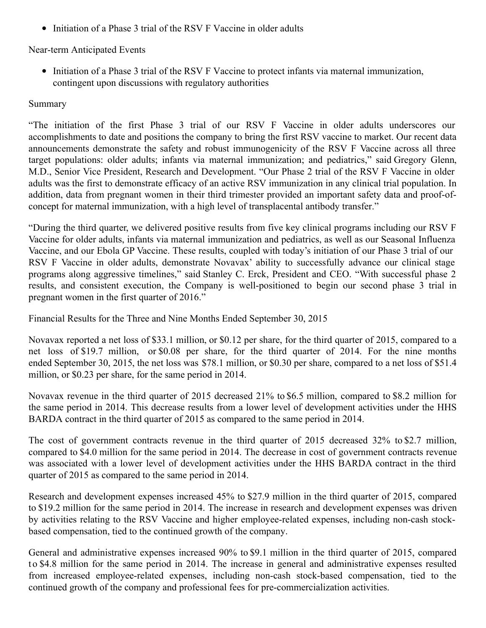• Initiation of a Phase 3 trial of the RSV F Vaccine in older adults

## Near-term Anticipated Events

• Initiation of a Phase 3 trial of the RSV F Vaccine to protect infants via maternal immunization, contingent upon discussions with regulatory authorities

## Summary

"The initiation of the first Phase 3 trial of our RSV F Vaccine in older adults underscores our accomplishments to date and positions the company to bring the first RSV vaccine to market. Our recent data announcements demonstrate the safety and robust immunogenicity of the RSV F Vaccine across all three target populations: older adults; infants via maternal immunization; and pediatrics," said Gregory Glenn, M.D., Senior Vice President, Research and Development. "Our Phase 2 trial of the RSV F Vaccine in older adults was the first to demonstrate efficacy of an active RSV immunization in any clinical trial population. In addition, data from pregnant women in their third trimester provided an important safety data and proof-ofconcept for maternal immunization, with a high level of transplacental antibody transfer."

"During the third quarter, we delivered positive results from five key clinical programs including our RSV F Vaccine for older adults, infants via maternal immunization and pediatrics, as well as our Seasonal Influenza Vaccine, and our Ebola GP Vaccine. These results, coupled with today's initiation of our Phase 3 trial of our RSV F Vaccine in older adults, demonstrate Novavax' ability to successfully advance our clinical stage programs along aggressive timelines," said Stanley C. Erck, President and CEO. "With successful phase 2 results, and consistent execution, the Company is well-positioned to begin our second phase 3 trial in pregnant women in the first quarter of 2016."

Financial Results for the Three and Nine Months Ended September 30, 2015

Novavax reported a net loss of \$33.1 million, or \$0.12 per share, for the third quarter of 2015, compared to a net loss of \$19.7 million, or \$0.08 per share, for the third quarter of 2014. For the nine months ended September 30, 2015, the net loss was \$78.1 million, or \$0.30 per share, compared to a net loss of \$51.4 million, or \$0.23 per share, for the same period in 2014.

Novavax revenue in the third quarter of 2015 decreased 21% to \$6.5 million, compared to \$8.2 million for the same period in 2014. This decrease results from a lower level of development activities under the HHS BARDA contract in the third quarter of 2015 as compared to the same period in 2014.

The cost of government contracts revenue in the third quarter of 2015 decreased 32% to \$2.7 million, compared to \$4.0 million for the same period in 2014. The decrease in cost of government contracts revenue was associated with a lower level of development activities under the HHS BARDA contract in the third quarter of 2015 as compared to the same period in 2014.

Research and development expenses increased 45% to \$27.9 million in the third quarter of 2015, compared to \$19.2 million for the same period in 2014. The increase in research and development expenses was driven by activities relating to the RSV Vaccine and higher employee-related expenses, including non-cash stockbased compensation, tied to the continued growth of the company.

General and administrative expenses increased 90% to \$9.1 million in the third quarter of 2015, compared t o \$4.8 million for the same period in 2014. The increase in general and administrative expenses resulted from increased employee-related expenses, including non-cash stock-based compensation, tied to the continued growth of the company and professional fees for pre-commercialization activities.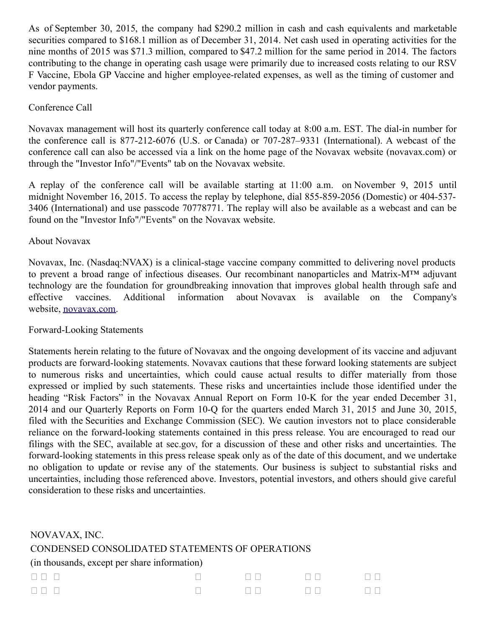As of September 30, 2015, the company had \$290.2 million in cash and cash equivalents and marketable securities compared to \$168.1 million as of December 31, 2014. Net cash used in operating activities for the nine months of 2015 was \$71.3 million, compared to \$47.2 million for the same period in 2014. The factors contributing to the change in operating cash usage were primarily due to increased costs relating to our RSV F Vaccine, Ebola GP Vaccine and higher employee-related expenses, as well as the timing of customer and vendor payments.

### Conference Call

Novavax management will host its quarterly conference call today at 8:00 a.m. EST. The dial-in number for the conference call is 877-212-6076 (U.S. or Canada) or 707-287–9331 (International). A webcast of the conference call can also be accessed via a link on the home page of the Novavax website (novavax.com) or through the "Investor Info"/"Events" tab on the Novavax website.

A replay of the conference call will be available starting at 11:00 a.m. on November 9, 2015 until midnight November 16, 2015. To access the replay by telephone, dial 855-859-2056 (Domestic) or 404-537- 3406 (International) and use passcode 70778771. The replay will also be available as a webcast and can be found on the "Investor Info"/"Events" on the Novavax website.

#### About Novavax

Novavax, Inc. (Nasdaq:NVAX) is a clinical-stage vaccine company committed to delivering novel products to prevent a broad range of infectious diseases. Our recombinant nanoparticles and Matrix-M™ adjuvant technology are the foundation for groundbreaking innovation that improves global health through safe and effective vaccines. Additional information about Novavax is available on the Company's website, [novavax.com](http://www.globenewswire.com/Tracker?data=FZgQfNB7Y7RsEJyItFzCQJLNx9_71IxkQ0nQZOfsXTm_HbvVB_NcvWyncKC0oirkTC0kYJF7_Hdz_GhbUfPLkg==).

## Forward-Looking Statements

Statements herein relating to the future of Novavax and the ongoing development of its vaccine and adjuvant products are forward-looking statements. Novavax cautions that these forward looking statements are subject to numerous risks and uncertainties, which could cause actual results to differ materially from those expressed or implied by such statements. These risks and uncertainties include those identified under the heading "Risk Factors" in the Novavax Annual Report on Form 10-K for the year ended December 31, 2014 and our Quarterly Reports on Form 10-Q for the quarters ended March 31, 2015 and June 30, 2015, filed with the Securities and Exchange Commission (SEC). We caution investors not to place considerable reliance on the forward-looking statements contained in this press release. You are encouraged to read our filings with the SEC, available at sec.gov, for a discussion of these and other risks and uncertainties. The forward-looking statements in this press release speak only as of the date of this document, and we undertake no obligation to update or revise any of the statements. Our business is subject to substantial risks and uncertainties, including those referenced above. Investors, potential investors, and others should give careful consideration to these risks and uncertainties.

## NOVAVAX, INC. CONDENSED CONSOLIDATED STATEMENTS OF OPERATIONS

(in thousands, except per share information)

| $\Box$ $\Box$ $\Box$ |  |        |  |
|----------------------|--|--------|--|
| $\Box$               |  | $\Box$ |  |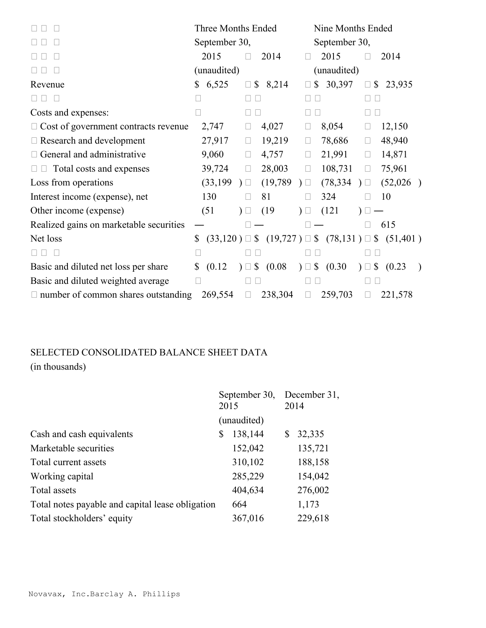|                                             | Three Months Ended          |                     |                        | Nine Months Ended                                      |  |  |
|---------------------------------------------|-----------------------------|---------------------|------------------------|--------------------------------------------------------|--|--|
|                                             | September 30,               |                     | September 30,          |                                                        |  |  |
|                                             | 2015                        | 2014<br>П           | 2015                   | 2014                                                   |  |  |
|                                             | (unaudited)                 |                     | (unaudited)            |                                                        |  |  |
| Revenue                                     | 6,525<br>\$                 | \$8,214<br>□        | 30,397<br>$\mathbb{S}$ | 23,935<br>\$                                           |  |  |
|                                             |                             |                     |                        | Н                                                      |  |  |
| Costs and expenses:                         |                             |                     |                        |                                                        |  |  |
| $\Box$ Cost of government contracts revenue | 2,747                       | 4,027               | 8,054                  | 12,150                                                 |  |  |
| $\Box$ Research and development             | 27,917                      | 19,219<br>$\Box$    | 78,686<br>$\Box$       | 48,940<br>$\Box$                                       |  |  |
| General and administrative                  | 9,060                       | 4,757<br>$\Box$     | 21,991<br>$\Box$       | 14,871<br>$\Box$                                       |  |  |
| Total costs and expenses<br><b>Barbara</b>  | 39,724                      | 28,003<br>$\Box$    | 108,731<br>$\Box$      | 75,961<br>$\Box$                                       |  |  |
| Loss from operations                        | (33, 199)                   | (19,789)<br>$\Box$  | (78, 334)<br>$\Box$    | (52,026)<br>$\Box$                                     |  |  |
| Interest income (expense), net              | 130                         | 81                  | 324                    | 10                                                     |  |  |
| Other income (expense)                      | (51)                        | (19)                | (121)<br>$\Gamma$      |                                                        |  |  |
| Realized gains on marketable securities     |                             |                     |                        | 615                                                    |  |  |
| Net loss                                    | \$<br>$(33,120) \square$ \$ |                     |                        | $(19,727) \square$ \$ $(78,131) \square$ \$ $(51,401)$ |  |  |
| П<br>$\mathbb{R}^n$                         |                             |                     |                        |                                                        |  |  |
| Basic and diluted net loss per share        | (0.12)<br>\$                | \$ (0.08)<br>$\Box$ | $) \Box$ \$ (0.30)     | \$<br>(0.23)<br>$\Box$                                 |  |  |
| Basic and diluted weighted average          |                             |                     |                        |                                                        |  |  |
| $\Box$ number of common shares outstanding  | 269,554                     | 238,304<br>$\Box$   | 259,703<br>$\Box$      | 221,578<br>□                                           |  |  |

# SELECTED CONSOLIDATED BALANCE SHEET DATA

(in thousands)

|                                                  | September 30,<br>2015 |         | December 31,<br>2014 |         |
|--------------------------------------------------|-----------------------|---------|----------------------|---------|
|                                                  |                       |         |                      |         |
|                                                  | (unaudited)           |         |                      |         |
| Cash and cash equivalents                        | \$                    | 138,144 | S                    | 32,335  |
| Marketable securities                            |                       | 152,042 |                      | 135,721 |
| Total current assets                             |                       | 310,102 |                      | 188,158 |
| Working capital                                  |                       | 285,229 |                      | 154,042 |
| Total assets                                     |                       | 404,634 |                      | 276,002 |
| Total notes payable and capital lease obligation |                       | 664     |                      | 1,173   |
| Total stockholders' equity                       |                       | 367,016 |                      | 229,618 |